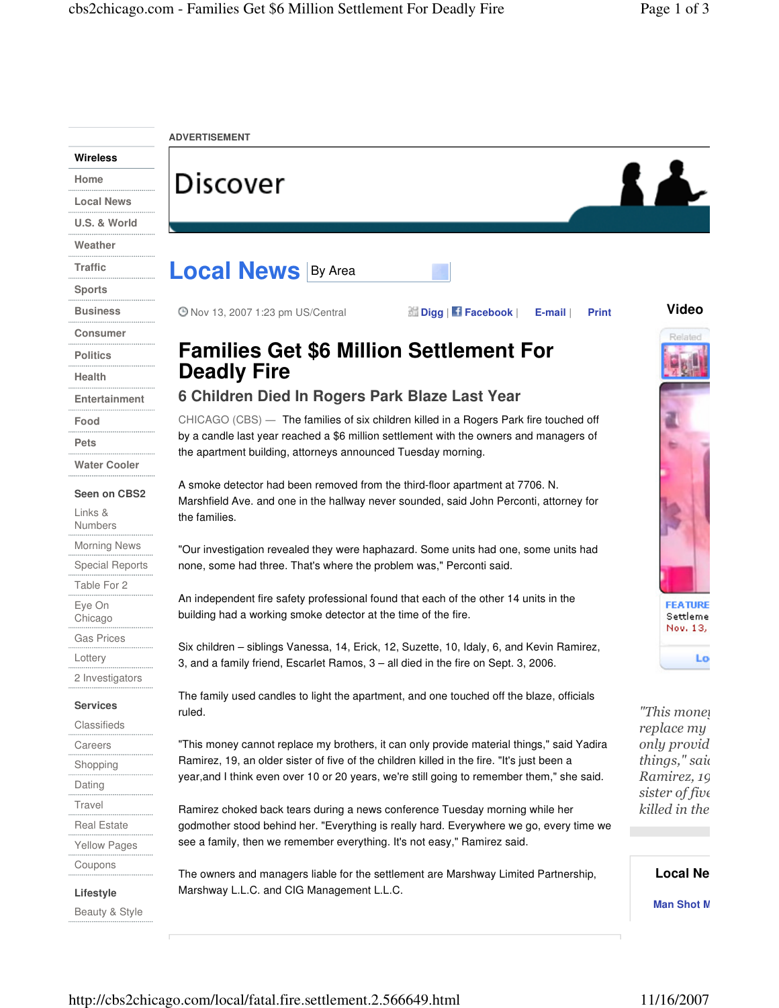|                       | <b>ADVERTISEMENT</b>                                                                                                                                                                                                                                |                                        |
|-----------------------|-----------------------------------------------------------------------------------------------------------------------------------------------------------------------------------------------------------------------------------------------------|----------------------------------------|
| <b>Wireless</b>       |                                                                                                                                                                                                                                                     |                                        |
| Home                  | <b>Discover</b>                                                                                                                                                                                                                                     |                                        |
| <b>Local News</b>     |                                                                                                                                                                                                                                                     |                                        |
| U.S. & World          |                                                                                                                                                                                                                                                     |                                        |
| Weather               |                                                                                                                                                                                                                                                     |                                        |
| Traffic               | <b>Local News By Area</b>                                                                                                                                                                                                                           |                                        |
| <b>Sports</b>         |                                                                                                                                                                                                                                                     |                                        |
| <b>Business</b>       | <b>@ Nov 13, 2007 1:23 pm US/Central</b><br>Digg   f Facebook  <br>E-mail  <br><b>Print</b>                                                                                                                                                         | <b>Video</b>                           |
| <b>Consumer</b>       |                                                                                                                                                                                                                                                     | Related                                |
| <b>Politics</b>       | <b>Families Get \$6 Million Settlement For</b>                                                                                                                                                                                                      |                                        |
| Health                | <b>Deadly Fire</b>                                                                                                                                                                                                                                  |                                        |
| Entertainment         | 6 Children Died In Rogers Park Blaze Last Year                                                                                                                                                                                                      |                                        |
| Food                  | CHICAGO (CBS) — The families of six children killed in a Rogers Park fire touched off<br>by a candle last year reached a \$6 million settlement with the owners and managers of<br>the apartment building, attorneys announced Tuesday morning.     |                                        |
| Pets                  |                                                                                                                                                                                                                                                     |                                        |
| <b>Water Cooler</b>   |                                                                                                                                                                                                                                                     |                                        |
| Seen on CBS2          | A smoke detector had been removed from the third-floor apartment at 7706. N.<br>Marshfield Ave. and one in the hallway never sounded, said John Perconti, attorney for<br>the families.                                                             |                                        |
| Links &<br>Numbers    |                                                                                                                                                                                                                                                     |                                        |
| <b>Morning News</b>   | "Our investigation revealed they were haphazard. Some units had one, some units had<br>none, some had three. That's where the problem was," Perconti said.                                                                                          |                                        |
| Special Reports       |                                                                                                                                                                                                                                                     |                                        |
| Table For 2           | An independent fire safety professional found that each of the other 14 units in the<br>building had a working smoke detector at the time of the fire.                                                                                              |                                        |
| Eye On<br>Chicago     |                                                                                                                                                                                                                                                     | <b>FEATURE</b><br>Settleme<br>Nov. 13, |
| Gas Prices            | Six children – siblings Vanessa, 14, Erick, 12, Suzette, 10, Idaly, 6, and Kevin Ramirez,<br>3, and a family friend, Escarlet Ramos, 3 – all died in the fire on Sept. 3, 2006.                                                                     |                                        |
| Lottery               |                                                                                                                                                                                                                                                     | <b>LO</b>                              |
| 2 Investigators       | The family used candles to light the apartment, and one touched off the blaze, officials                                                                                                                                                            |                                        |
| <b>Services</b>       | ruled.                                                                                                                                                                                                                                              | "This mone!                            |
| Classifieds           |                                                                                                                                                                                                                                                     | replace my                             |
| Careers               | "This money cannot replace my brothers, it can only provide material things," said Yadira<br>Ramirez, 19, an older sister of five of the children killed in the fire. "It's just been a                                                             | only provid<br>things," said           |
| Shopping              | year, and I think even over 10 or 20 years, we're still going to remember them," she said.                                                                                                                                                          | Ramirez, 19                            |
| Dating                |                                                                                                                                                                                                                                                     | sister of five                         |
| Travel<br>Real Estate | Ramirez choked back tears during a news conference Tuesday morning while her<br>godmother stood behind her. "Everything is really hard. Everywhere we go, every time we<br>see a family, then we remember everything. It's not easy," Ramirez said. | killed in the                          |
| Yellow Pages          |                                                                                                                                                                                                                                                     |                                        |
| Coupons               |                                                                                                                                                                                                                                                     |                                        |
| Lifestyle             | The owners and managers liable for the settlement are Marshway Limited Partnership,<br>Marshway L.L.C. and CIG Management L.L.C.                                                                                                                    | <b>Local Ne</b>                        |
| Beauty & Style        |                                                                                                                                                                                                                                                     | <b>Man Shot M</b>                      |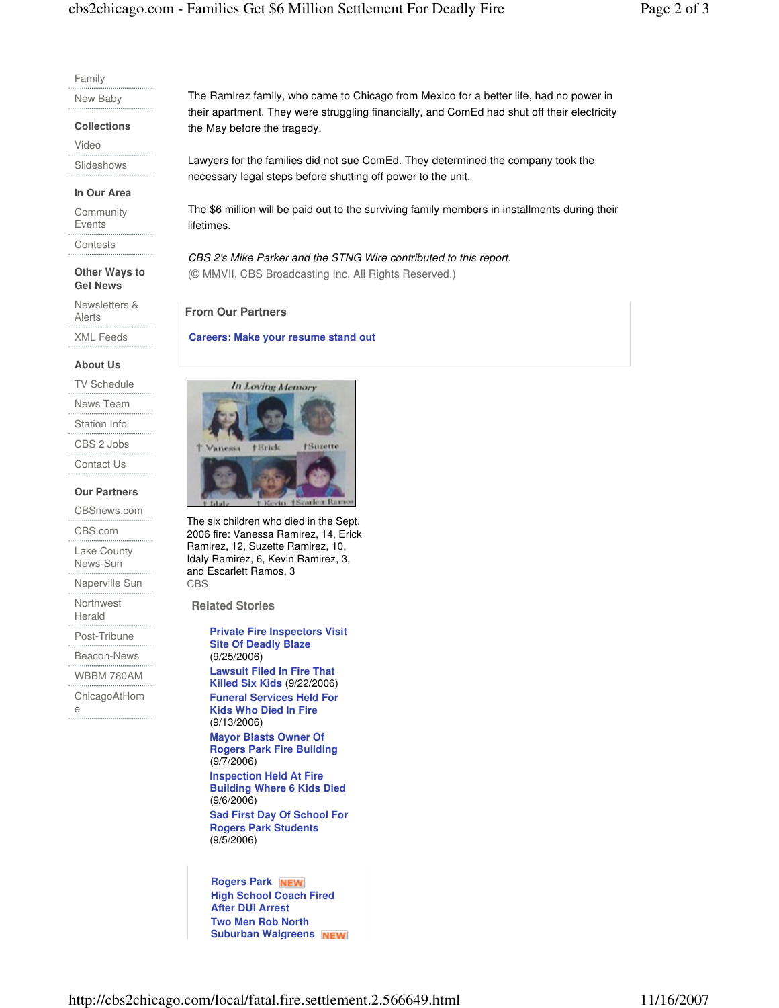#### Family

New Baby

**Collections** 

Video

Slideshows

#### **In Our Area**

**Community** Events

**Contests** 

### **Other Ways to Get News**

Newsletters & Alerts

XML Feeds

# **About Us**

TV Schedule

News Team

Station Info

CBS 2 Jobs

Contact Us

## **Our Partners**

CBSnews.com

CBS.com

Lake County News-Sun

Naperville Sun

Northwest Herald

Post-Tribune

Beacon-News

WBBM 780AM

ChicagoAtHom e

The Ramirez family, who came to Chicago from Mexico for a better life, had no power in their apartment. They were struggling financially, and ComEd had shut off their electricity the May before the tragedy.

Lawyers for the families did not sue ComEd. They determined the company took the necessary legal steps before shutting off power to the unit.

The \$6 million will be paid out to the surviving family members in installments during their lifetimes.

CBS 2's Mike Parker and the STNG Wire contributed to this report. (© MMVII, CBS Broadcasting Inc. All Rights Reserved.)

**From Our Partners**

**Careers: Make your resume stand out**



The six children who died in the Sept. 2006 fire: Vanessa Ramirez, 14, Erick Ramirez, 12, Suzette Ramirez, 10, Idaly Ramirez, 6, Kevin Ramirez, 3, and Escarlett Ramos, 3 CBS

**Related Stories**

**Private Fire Inspectors Visit Site Of Deadly Blaze** (9/25/2006) **Lawsuit Filed In Fire That Killed Six Kids** (9/22/2006) **Funeral Services Held For Kids Who Died In Fire** (9/13/2006) **Mayor Blasts Owner Of Rogers Park Fire Building** (9/7/2006) **Inspection Held At Fire Building Where 6 Kids Died** (9/6/2006) **Sad First Day Of School For Rogers Park Students**

(9/5/2006)

**Rogers Park High School Coach Fired After DUI Arrest Two Men Rob North Suburban Walgreens**